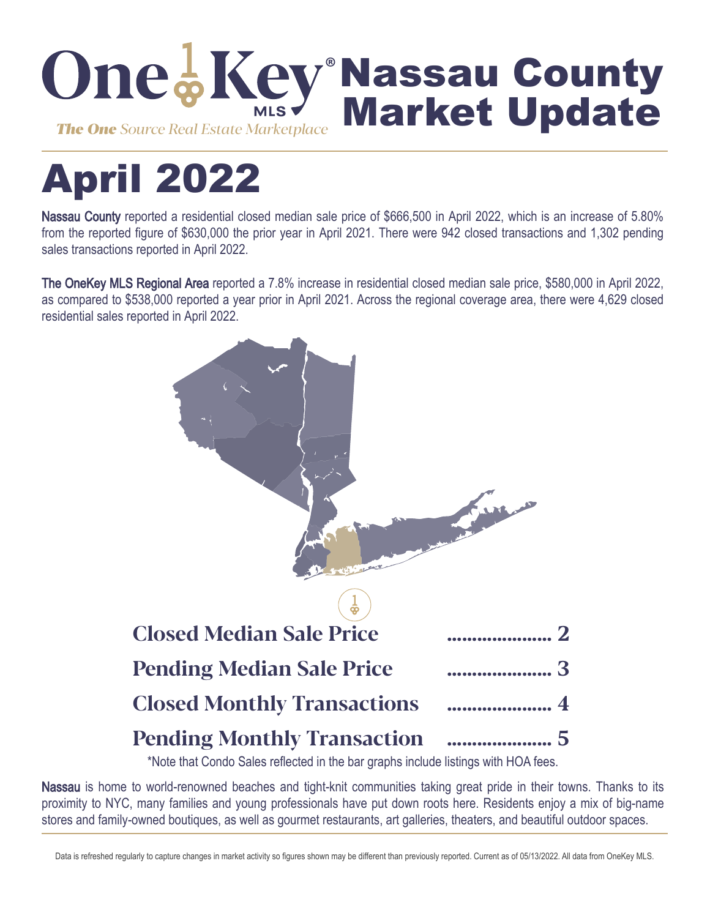

# April 2022

Nassau County reported a residential closed median sale price of \$666,500 in April 2022, which is an increase of 5.80% from the reported figure of \$630,000 the prior year in April 2021. There were 942 closed transactions and 1,302 pending sales transactions reported in April 2022.

The OneKey MLS Regional Area reported a 7.8% increase in residential closed median sale price, \$580,000 in April 2022, as compared to \$538,000 reported a year prior in April 2021. Across the regional coverage area, there were 4,629 closed residential sales reported in April 2022.



\*Note that Condo Sales reflected in the bar graphs include listings with HOA fees.

Nassau is home to world-renowned beaches and tight-knit communities taking great pride in their towns. Thanks to its proximity to NYC, many families and young professionals have put down roots here. Residents enjoy a mix of big-name stores and family-owned boutiques, as well as gourmet restaurants, art galleries, theaters, and beautiful outdoor spaces.

Data is refreshed regularly to capture changes in market activity so figures shown may be different than previously reported. Current as of 05/13/2022. All data from OneKey MLS.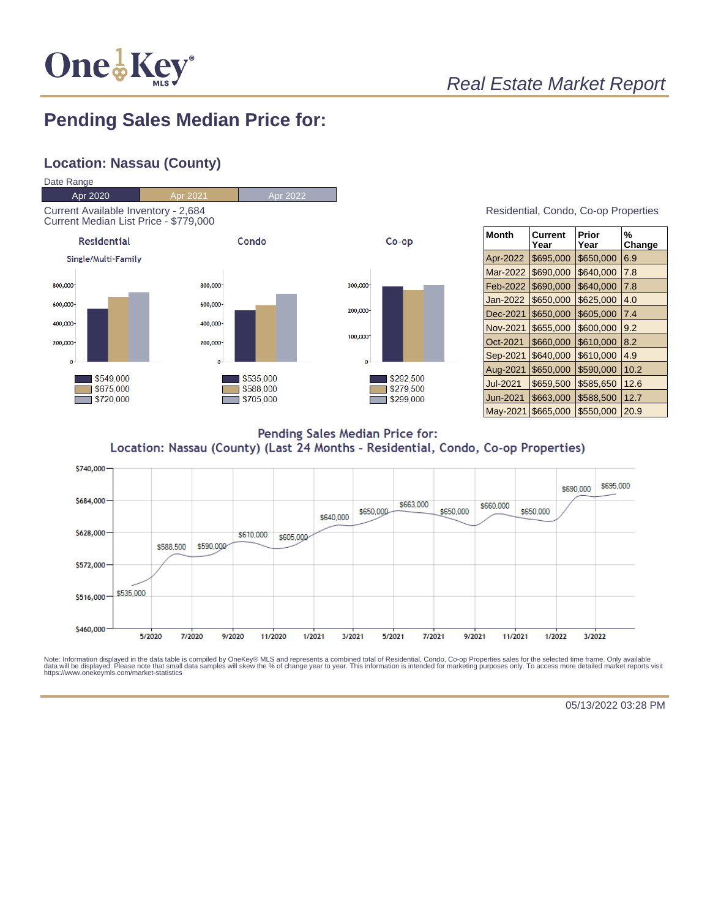

## Real Estate Market Report

## **Pending Sales Median Price for:**

#### **Location: Nassau (County)**



| <b>Month</b>    | Current<br>Year | Prior<br>Year | %<br>Change |
|-----------------|-----------------|---------------|-------------|
| Apr-2022        | \$695,000       | \$650,000     | 6.9         |
| Mar-2022        | \$690,000       | \$640,000     | 7.8         |
| Feb-2022        | \$690,000       | \$640,000     | 7.8         |
| Jan-2022        | \$650,000       | \$625,000     | 4.0         |
| Dec-2021        | \$650,000       | \$605,000     | 7.4         |
| Nov-2021        | \$655,000       | \$600,000     | 9.2         |
| Oct-2021        | \$660,000       | \$610,000     | 8.2         |
| Sep-2021        | \$640,000       | \$610,000     | 4.9         |
| Aug-2021        | \$650,000       | \$590,000     | 10.2        |
| <b>Jul-2021</b> | \$659,500       | \$585,650     | 12.6        |
| Jun-2021        | \$663,000       | \$588,500     | 12.7        |
| May-2021        | \$665,000       | \$550,000     | 20.9        |

Pending Sales Median Price for: Location: Nassau (County) (Last 24 Months - Residential, Condo, Co-op Properties)



Note: Information displayed in the data table is compiled by OneKey® MLS and represents a combined total of Residential, Condo, Co-op Properties sales for the selected time frame. Only available<br>data will be displayed. Pl

05/13/2022 03:28 PM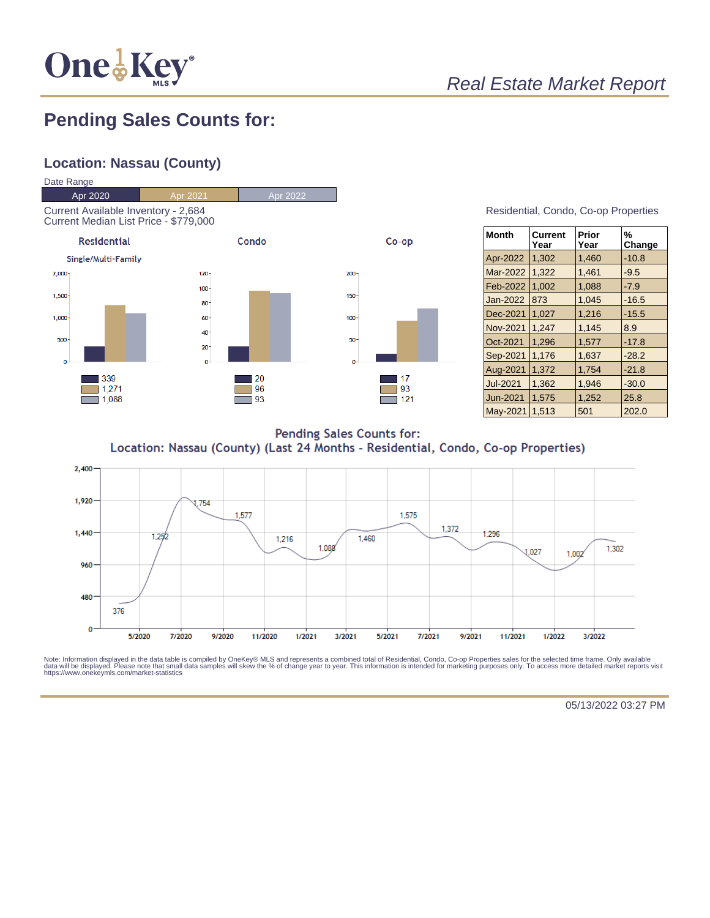

## **Pending Sales Counts for:**

#### **Location: Nassau (County)**



| Residential, Condo, Co-op Properties |  |  |
|--------------------------------------|--|--|
|                                      |  |  |

| <b>Month</b>    | Current<br>Year | Prior<br>Year | %<br>Change |
|-----------------|-----------------|---------------|-------------|
| Apr-2022        | 1,302           | 1,460         | $-10.8$     |
| Mar-2022        | 1,322           | 1,461         | $-9.5$      |
| Feb-2022        | 1,002           | 1,088         | $-7.9$      |
| Jan-2022        | 873             | 1,045         | $-16.5$     |
| Dec-2021        | 1.027           | 1,216         | $-15.5$     |
| Nov-2021        | 1.247           | 1,145         | 8.9         |
| Oct-2021        | 1.296           | 1.577         | $-17.8$     |
| Sep-2021        | 1,176           | 1,637         | $-28.2$     |
| Aug-2021        | 1.372           | 1.754         | $-21.8$     |
| <b>Jul-2021</b> | 1,362           | 1.946         | $-30.0$     |
| Jun-2021        | 1,575           | 1,252         | 25.8        |
| May-2021        | 1.513           | 501           | 202.0       |

**Pending Sales Counts for:** Location: Nassau (County) (Last 24 Months - Residential, Condo, Co-op Properties)



Note: Information displayed in the data table is compiled by OneKey® MLS and represents a combined total of Residential, Condo, Co-op Properties sales for the selected time frame. Only available<br>data will be displayed. Pl

05/13/2022 03:27 PM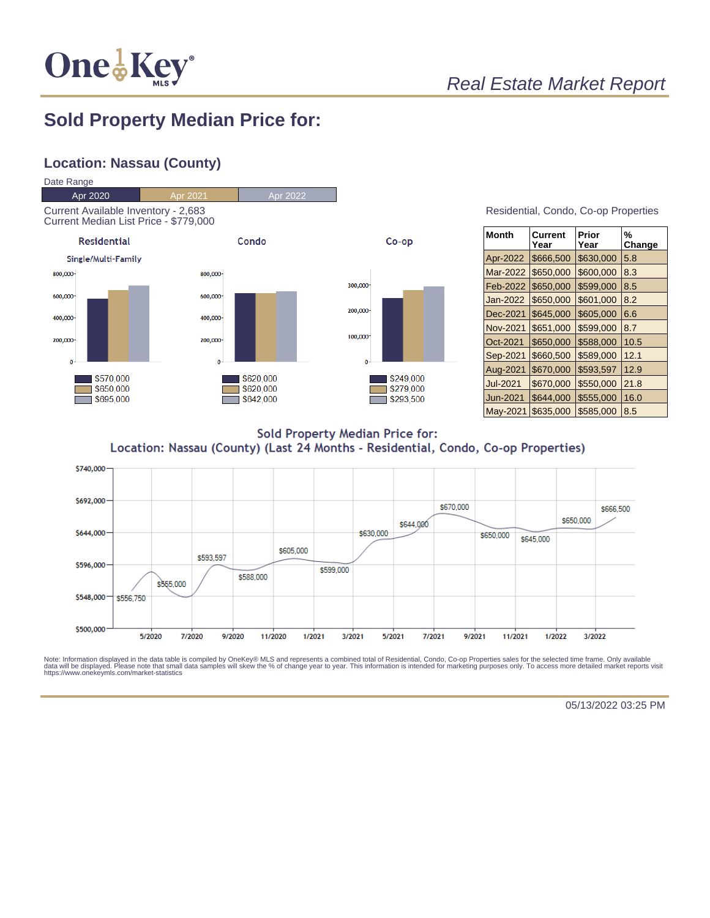

## Real Estate Market Report

#### **Sold Property Median Price for:**

#### **Location: Nassau (County)**



| Residential, Condo, Co-op Properties |  |  |
|--------------------------------------|--|--|
|                                      |  |  |

| <b>Month</b>    | Current<br>Year | Prior<br>Year | %<br>Change |
|-----------------|-----------------|---------------|-------------|
| Apr-2022        | \$666,500       | \$630,000     | 5.8         |
| Mar-2022        | \$650,000       | \$600,000     | 8.3         |
| Feb-2022        | \$650,000       | \$599,000     | 8.5         |
| Jan-2022        | \$650,000       | \$601,000     | 8.2         |
| Dec-2021        | \$645,000       | \$605,000     | 6.6         |
| Nov-2021        | \$651,000       | \$599,000     | 8.7         |
| Oct-2021        | \$650,000       | \$588,000     | 10.5        |
| Sep-2021        | \$660,500       | \$589,000     | 12.1        |
| Aug-2021        | \$670,000       | \$593,597     | 12.9        |
| <b>Jul-2021</b> | \$670,000       | \$550,000     | 21.8        |
| Jun-2021        | \$644,000       | \$555,000     | 16.0        |
| May-2021        | \$635,000       | \$585,000     | 8.5         |

**Sold Property Median Price for:** Location: Nassau (County) (Last 24 Months - Residential, Condo, Co-op Properties)



Note: Information displayed in the data table is compiled by OneKey® MLS and represents a combined total of Residential, Condo, Co-op Properties sales for the selected time frame. Only available<br>data will be displayed. Pl

05/13/2022 03:25 PM